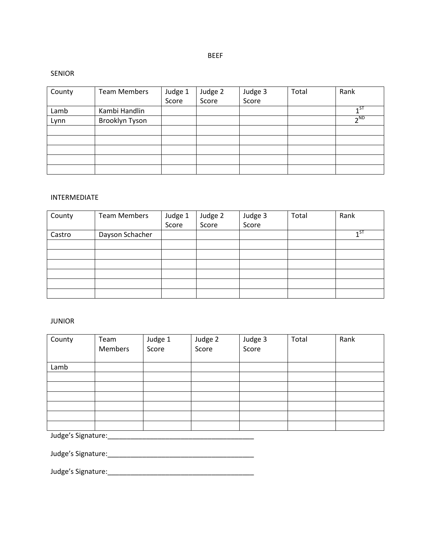BEEF

### SENIOR

| County | <b>Team Members</b> | Judge 1<br>Score | Judge 2 | Judge 3 | Total | Rank                 |
|--------|---------------------|------------------|---------|---------|-------|----------------------|
|        |                     |                  | Score   | Score   |       |                      |
| Lamb   | Kambi Handlin       |                  |         |         |       | $1^{57}$             |
| Lynn   | Brooklyn Tyson      |                  |         |         |       | $\neg$ <sub>ND</sub> |
|        |                     |                  |         |         |       |                      |
|        |                     |                  |         |         |       |                      |
|        |                     |                  |         |         |       |                      |
|        |                     |                  |         |         |       |                      |
|        |                     |                  |         |         |       |                      |

# INTERMEDIATE

| County | <b>Team Members</b> | Judge 1 | Judge 2 | Judge 3 | Total | Rank            |
|--------|---------------------|---------|---------|---------|-------|-----------------|
|        |                     | Score   | Score   | Score   |       |                 |
| Castro | Dayson Schacher     |         |         |         |       | $\mathsf{A}$ ST |
|        |                     |         |         |         |       |                 |
|        |                     |         |         |         |       |                 |
|        |                     |         |         |         |       |                 |
|        |                     |         |         |         |       |                 |
|        |                     |         |         |         |       |                 |
|        |                     |         |         |         |       |                 |

## JUNIOR

| County | Team<br><b>Members</b> | Judge 1<br>Score | Judge 2<br>Score | Judge 3<br>Score | Total | Rank |
|--------|------------------------|------------------|------------------|------------------|-------|------|
| Lamb   |                        |                  |                  |                  |       |      |
|        |                        |                  |                  |                  |       |      |
|        |                        |                  |                  |                  |       |      |
|        |                        |                  |                  |                  |       |      |
|        |                        |                  |                  |                  |       |      |
|        |                        |                  |                  |                  |       |      |
|        |                        |                  |                  |                  |       |      |

Judge's Signature:\_\_\_\_\_\_\_\_\_\_\_\_\_\_\_\_\_\_\_\_\_\_\_\_\_\_\_\_\_\_\_\_\_\_\_\_\_\_

Judge's Signature:\_\_\_\_\_\_\_\_\_\_\_\_\_\_\_\_\_\_\_\_\_\_\_\_\_\_\_\_\_\_\_\_\_\_\_\_\_\_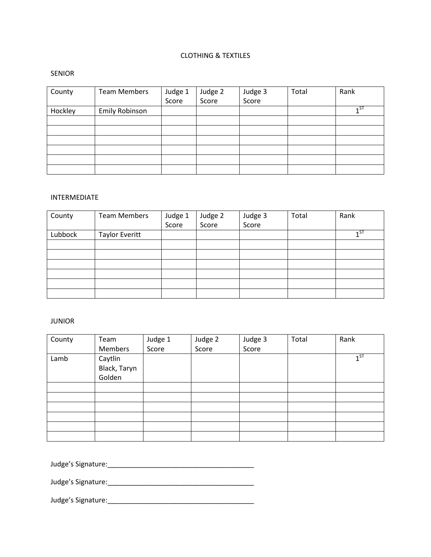# CLOTHING & TEXTILES

## SENIOR

| County  | <b>Team Members</b>   | Judge 1<br>Score | Judge 2<br>Score | Judge 3<br>Score | Total | Rank     |
|---------|-----------------------|------------------|------------------|------------------|-------|----------|
|         |                       |                  |                  |                  |       |          |
| Hockley | <b>Emily Robinson</b> |                  |                  |                  |       | $1^{57}$ |
|         |                       |                  |                  |                  |       |          |
|         |                       |                  |                  |                  |       |          |
|         |                       |                  |                  |                  |       |          |
|         |                       |                  |                  |                  |       |          |
|         |                       |                  |                  |                  |       |          |
|         |                       |                  |                  |                  |       |          |

## INTERMEDIATE

| County  | <b>Team Members</b> | Judge 1 | Judge 2 | Judge 3 | Total | Rank     |
|---------|---------------------|---------|---------|---------|-------|----------|
|         |                     | Score   | Score   | Score   |       |          |
| Lubbock | Taylor Everitt      |         |         |         |       | $1^{ST}$ |
|         |                     |         |         |         |       |          |
|         |                     |         |         |         |       |          |
|         |                     |         |         |         |       |          |
|         |                     |         |         |         |       |          |
|         |                     |         |         |         |       |          |
|         |                     |         |         |         |       |          |

## JUNIOR

| County | Team         | Judge 1 | Judge 2 | Judge 3 | Total | Rank     |
|--------|--------------|---------|---------|---------|-------|----------|
|        | Members      | Score   | Score   | Score   |       |          |
| Lamb   | Caytlin      |         |         |         |       | $1^{ST}$ |
|        | Black, Taryn |         |         |         |       |          |
|        | Golden       |         |         |         |       |          |
|        |              |         |         |         |       |          |
|        |              |         |         |         |       |          |
|        |              |         |         |         |       |          |
|        |              |         |         |         |       |          |
|        |              |         |         |         |       |          |
|        |              |         |         |         |       |          |

Judge's Signature:\_\_\_\_\_\_\_\_\_\_\_\_\_\_\_\_\_\_\_\_\_\_\_\_\_\_\_\_\_\_\_\_\_\_\_\_\_\_

Judge's Signature:\_\_\_\_\_\_\_\_\_\_\_\_\_\_\_\_\_\_\_\_\_\_\_\_\_\_\_\_\_\_\_\_\_\_\_\_\_\_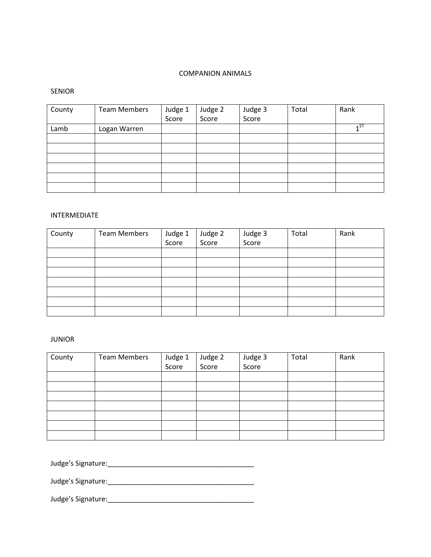# COMPANION ANIMALS

# SENIOR

| County | <b>Team Members</b> | Judge 1 | Judge 2 | Judge 3 | Total | Rank           |
|--------|---------------------|---------|---------|---------|-------|----------------|
|        |                     | Score   | Score   | Score   |       |                |
| Lamb   | Logan Warren        |         |         |         |       | 1 <sub>5</sub> |
|        |                     |         |         |         |       |                |
|        |                     |         |         |         |       |                |
|        |                     |         |         |         |       |                |
|        |                     |         |         |         |       |                |
|        |                     |         |         |         |       |                |
|        |                     |         |         |         |       |                |

### INTERMEDIATE

| County | <b>Team Members</b> | Judge 1<br>Score | Judge 2<br>Score | Judge 3<br>Score | Total | Rank |
|--------|---------------------|------------------|------------------|------------------|-------|------|
|        |                     |                  |                  |                  |       |      |
|        |                     |                  |                  |                  |       |      |
|        |                     |                  |                  |                  |       |      |
|        |                     |                  |                  |                  |       |      |
|        |                     |                  |                  |                  |       |      |
|        |                     |                  |                  |                  |       |      |
|        |                     |                  |                  |                  |       |      |

# JUNIOR

| County | Team Members | Judge 1<br>Score | Judge 2 | Judge 3<br>Score | Total | Rank |
|--------|--------------|------------------|---------|------------------|-------|------|
|        |              |                  | Score   |                  |       |      |
|        |              |                  |         |                  |       |      |
|        |              |                  |         |                  |       |      |
|        |              |                  |         |                  |       |      |
|        |              |                  |         |                  |       |      |
|        |              |                  |         |                  |       |      |
|        |              |                  |         |                  |       |      |
|        |              |                  |         |                  |       |      |

Judge's Signature:\_\_\_\_\_\_\_\_\_\_\_\_\_\_\_\_\_\_\_\_\_\_\_\_\_\_\_\_\_\_\_\_\_\_\_\_\_\_

Judge's Signature:\_\_\_\_\_\_\_\_\_\_\_\_\_\_\_\_\_\_\_\_\_\_\_\_\_\_\_\_\_\_\_\_\_\_\_\_\_\_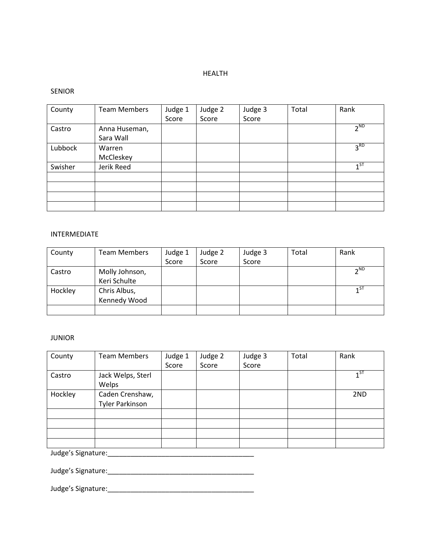## HEALTH

## SENIOR

| County  | <b>Team Members</b> | Judge 1 | Judge 2 | Judge 3 | Total | Rank            |
|---------|---------------------|---------|---------|---------|-------|-----------------|
|         |                     | Score   | Score   | Score   |       |                 |
| Castro  | Anna Huseman,       |         |         |         |       | $2^{\text{ND}}$ |
|         | Sara Wall           |         |         |         |       |                 |
| Lubbock | Warren              |         |         |         |       | 3 <sup>RD</sup> |
|         | McCleskey           |         |         |         |       |                 |
| Swisher | Jerik Reed          |         |         |         |       | $1^{ST}$        |
|         |                     |         |         |         |       |                 |
|         |                     |         |         |         |       |                 |
|         |                     |         |         |         |       |                 |
|         |                     |         |         |         |       |                 |

## INTERMEDIATE

| County  | <b>Team Members</b> | Judge 1 | Judge 2 | Judge 3 | Total | Rank                 |
|---------|---------------------|---------|---------|---------|-------|----------------------|
|         |                     | Score   | Score   | Score   |       |                      |
| Castro  | Molly Johnson,      |         |         |         |       | $\neg$ <sub>ND</sub> |
|         | Keri Schulte        |         |         |         |       |                      |
| Hockley | Chris Albus,        |         |         |         |       | $1^{ST}$             |
|         | Kennedy Wood        |         |         |         |       |                      |
|         |                     |         |         |         |       |                      |

# JUNIOR

| County             | <b>Team Members</b>                       | Judge 1 | Judge 2 | Judge 3 | Total | Rank     |
|--------------------|-------------------------------------------|---------|---------|---------|-------|----------|
|                    |                                           | Score   | Score   | Score   |       |          |
| Castro             | Jack Welps, Sterl<br>Welps                |         |         |         |       | $1^{ST}$ |
| Hockley            | Caden Crenshaw,<br><b>Tyler Parkinson</b> |         |         |         |       | 2ND      |
|                    |                                           |         |         |         |       |          |
|                    |                                           |         |         |         |       |          |
|                    |                                           |         |         |         |       |          |
|                    |                                           |         |         |         |       |          |
| Judge's Signature: |                                           |         |         |         |       |          |

Judge's Signature:\_\_\_\_\_\_\_\_\_\_\_\_\_\_\_\_\_\_\_\_\_\_\_\_\_\_\_\_\_\_\_\_\_\_\_\_\_\_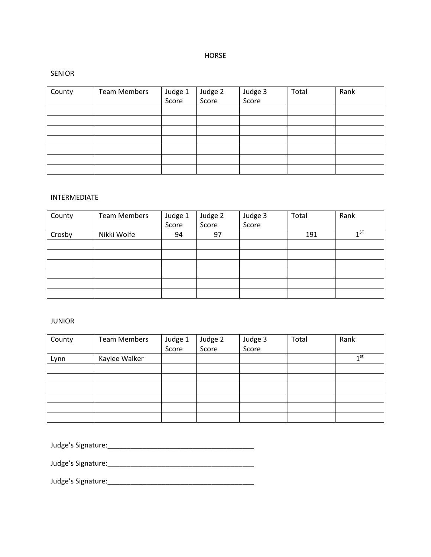# HORSE

### SENIOR

| County | <b>Team Members</b> | Judge 1<br>Score | Judge 2<br>Score | Judge 3<br>Score | Total | Rank |
|--------|---------------------|------------------|------------------|------------------|-------|------|
|        |                     |                  |                  |                  |       |      |
|        |                     |                  |                  |                  |       |      |
|        |                     |                  |                  |                  |       |      |
|        |                     |                  |                  |                  |       |      |
|        |                     |                  |                  |                  |       |      |
|        |                     |                  |                  |                  |       |      |
|        |                     |                  |                  |                  |       |      |

# INTERMEDIATE

| County | <b>Team Members</b> | Judge 1 | Judge 2 | Judge 3 | Total | Rank |
|--------|---------------------|---------|---------|---------|-------|------|
|        |                     | Score   | Score   | Score   |       |      |
| Crosby | Nikki Wolfe         | 94      | 97      |         | 191   | ۵T - |
|        |                     |         |         |         |       |      |
|        |                     |         |         |         |       |      |
|        |                     |         |         |         |       |      |
|        |                     |         |         |         |       |      |
|        |                     |         |         |         |       |      |
|        |                     |         |         |         |       |      |

# JUNIOR

| County | <b>Team Members</b> | Judge 1 | Judge 2 | Judge 3 | Total | Rank            |
|--------|---------------------|---------|---------|---------|-------|-----------------|
|        |                     | Score   | Score   | Score   |       |                 |
| Lynn   | Kaylee Walker       |         |         |         |       | $1^{\text{st}}$ |
|        |                     |         |         |         |       |                 |
|        |                     |         |         |         |       |                 |
|        |                     |         |         |         |       |                 |
|        |                     |         |         |         |       |                 |
|        |                     |         |         |         |       |                 |
|        |                     |         |         |         |       |                 |

Judge's Signature:\_\_\_\_\_\_\_\_\_\_\_\_\_\_\_\_\_\_\_\_\_\_\_\_\_\_\_\_\_\_\_\_\_\_\_\_\_\_

Judge's Signature:\_\_\_\_\_\_\_\_\_\_\_\_\_\_\_\_\_\_\_\_\_\_\_\_\_\_\_\_\_\_\_\_\_\_\_\_\_\_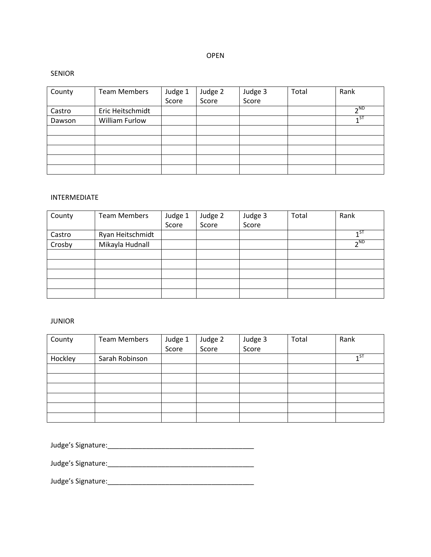# OPEN

#### SENIOR

| County | <b>Team Members</b> | Judge 1 | Judge 2 | Judge 3 | Total | Rank                 |
|--------|---------------------|---------|---------|---------|-------|----------------------|
|        |                     | Score   | Score   | Score   |       |                      |
| Castro | Eric Heitschmidt    |         |         |         |       | $\neg$ <sub>ND</sub> |
| Dawson | William Furlow      |         |         |         |       | $1^{ST}$             |
|        |                     |         |         |         |       |                      |
|        |                     |         |         |         |       |                      |
|        |                     |         |         |         |       |                      |
|        |                     |         |         |         |       |                      |
|        |                     |         |         |         |       |                      |

# INTERMEDIATE

| County | <b>Team Members</b> | Judge 1 | Judge 2 | Judge 3 | Total | Rank            |
|--------|---------------------|---------|---------|---------|-------|-----------------|
|        |                     | Score   | Score   | Score   |       |                 |
| Castro | Ryan Heitschmidt    |         |         |         |       | $1^{\text{ST}}$ |
| Crosby | Mikayla Hudnall     |         |         |         |       | $\n  n$         |
|        |                     |         |         |         |       |                 |
|        |                     |         |         |         |       |                 |
|        |                     |         |         |         |       |                 |
|        |                     |         |         |         |       |                 |
|        |                     |         |         |         |       |                 |

# JUNIOR

| County  | <b>Team Members</b> | Judge 1 | Judge 2 | Judge 3 | Total | Rank     |
|---------|---------------------|---------|---------|---------|-------|----------|
|         |                     | Score   | Score   | Score   |       |          |
| Hockley | Sarah Robinson      |         |         |         |       | $1^{ST}$ |
|         |                     |         |         |         |       |          |
|         |                     |         |         |         |       |          |
|         |                     |         |         |         |       |          |
|         |                     |         |         |         |       |          |
|         |                     |         |         |         |       |          |
|         |                     |         |         |         |       |          |

Judge's Signature:\_\_\_\_\_\_\_\_\_\_\_\_\_\_\_\_\_\_\_\_\_\_\_\_\_\_\_\_\_\_\_\_\_\_\_\_\_\_

Judge's Signature:\_\_\_\_\_\_\_\_\_\_\_\_\_\_\_\_\_\_\_\_\_\_\_\_\_\_\_\_\_\_\_\_\_\_\_\_\_\_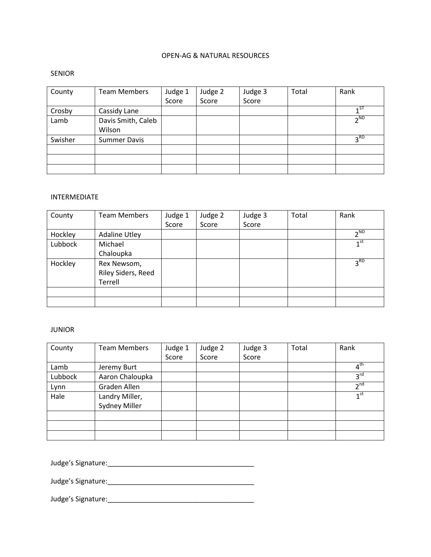# OPEN-AG & NATURAL RESOURCES

### SENIOR

| County  | <b>Team Members</b> | Judge 1 | Judge 2 | Judge 3 | Total | Rank                 |
|---------|---------------------|---------|---------|---------|-------|----------------------|
|         |                     | Score   | Score   | Score   |       |                      |
| Crosby  | Cassidy Lane        |         |         |         |       | 15T                  |
| Lamb    | Davis Smith, Caleb  |         |         |         |       | $\neg$ <sub>ND</sub> |
|         | Wilson              |         |         |         |       |                      |
| Swisher | <b>Summer Davis</b> |         |         |         |       | 3 <sup>RD</sup>      |
|         |                     |         |         |         |       |                      |
|         |                     |         |         |         |       |                      |
|         |                     |         |         |         |       |                      |

## INTERMEDIATE

| County  | <b>Team Members</b>  | Judge 1 | Judge 2 | Judge 3 | Total | Rank                 |
|---------|----------------------|---------|---------|---------|-------|----------------------|
|         |                      | Score   | Score   | Score   |       |                      |
| Hockley | <b>Adaline Utley</b> |         |         |         |       | $\neg$ <sub>ND</sub> |
| Lubbock | Michael              |         |         |         |       | 1 <sup>st</sup>      |
|         | Chaloupka            |         |         |         |       |                      |
| Hockley | Rex Newsom,          |         |         |         |       | 3 <sup>RD</sup>      |
|         | Riley Siders, Reed   |         |         |         |       |                      |
|         | Terrell              |         |         |         |       |                      |
|         |                      |         |         |         |       |                      |
|         |                      |         |         |         |       |                      |

# JUNIOR

| County  | <b>Team Members</b> | Judge 1 | Judge 2 | Judge 3 | Total | Rank                       |
|---------|---------------------|---------|---------|---------|-------|----------------------------|
|         |                     | Score   | Score   | Score   |       |                            |
| Lamb    | Jeremy Burt         |         |         |         |       | $\overline{4}^{\text{th}}$ |
| Lubbock | Aaron Chaloupka     |         |         |         |       | 3 <sup>rd</sup>            |
| Lynn    | Graden Allen        |         |         |         |       | 2 <sup>nd</sup>            |
| Hale    | Landry Miller,      |         |         |         |       | 1 <sup>st</sup>            |
|         | Sydney Miller       |         |         |         |       |                            |
|         |                     |         |         |         |       |                            |
|         |                     |         |         |         |       |                            |
|         |                     |         |         |         |       |                            |

Judge's Signature:\_\_\_\_\_\_\_\_\_\_\_\_\_\_\_\_\_\_\_\_\_\_\_\_\_\_\_\_\_\_\_\_\_\_\_\_\_\_

Judge's Signature:\_\_\_\_\_\_\_\_\_\_\_\_\_\_\_\_\_\_\_\_\_\_\_\_\_\_\_\_\_\_\_\_\_\_\_\_\_\_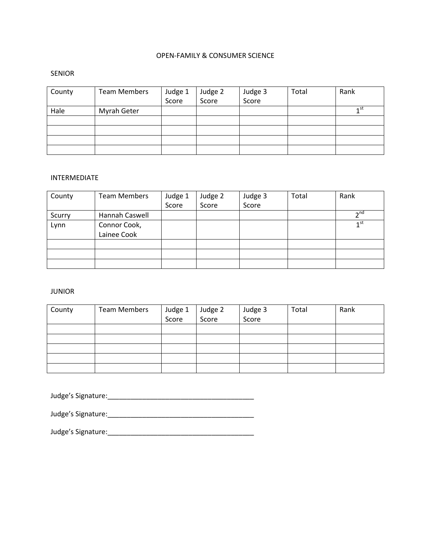# OPEN-FAMILY & CONSUMER SCIENCE

## SENIOR

| County | <b>Team Members</b> | Judge 1 | Judge 2 | Judge 3<br>Score | Total | Rank            |
|--------|---------------------|---------|---------|------------------|-------|-----------------|
|        |                     | Score   | Score   |                  |       |                 |
| Hale   | Myrah Geter         |         |         |                  |       | 1 <sup>st</sup> |
|        |                     |         |         |                  |       |                 |
|        |                     |         |         |                  |       |                 |
|        |                     |         |         |                  |       |                 |
|        |                     |         |         |                  |       |                 |

## INTERMEDIATE

| County | <b>Team Members</b> | Judge 1 | Judge 2 | Judge 3 | Total | Rank            |
|--------|---------------------|---------|---------|---------|-------|-----------------|
|        |                     | Score   | Score   | Score   |       |                 |
| Scurry | Hannah Caswell      |         |         |         |       | 2 <sub>nd</sub> |
| Lynn   | Connor Cook,        |         |         |         |       | $1^{\text{st}}$ |
|        | Lainee Cook         |         |         |         |       |                 |
|        |                     |         |         |         |       |                 |
|        |                     |         |         |         |       |                 |
|        |                     |         |         |         |       |                 |

### JUNIOR

| County | Team Members | Judge 1 | Judge 2 | Judge 3<br>Score | Total | Rank |
|--------|--------------|---------|---------|------------------|-------|------|
|        |              | Score   | Score   |                  |       |      |
|        |              |         |         |                  |       |      |
|        |              |         |         |                  |       |      |
|        |              |         |         |                  |       |      |
|        |              |         |         |                  |       |      |
|        |              |         |         |                  |       |      |

Judge's Signature:\_\_\_\_\_\_\_\_\_\_\_\_\_\_\_\_\_\_\_\_\_\_\_\_\_\_\_\_\_\_\_\_\_\_\_\_\_\_

Judge's Signature:\_\_\_\_\_\_\_\_\_\_\_\_\_\_\_\_\_\_\_\_\_\_\_\_\_\_\_\_\_\_\_\_\_\_\_\_\_\_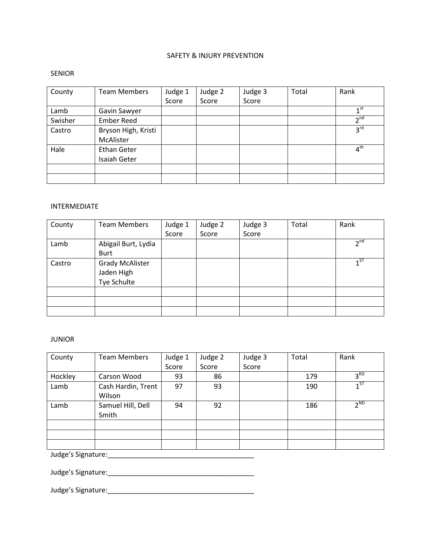# SAFETY & INJURY PREVENTION

### SENIOR

| County  | <b>Team Members</b> | Judge 1 | Judge 2 | Judge 3 | Total | Rank            |
|---------|---------------------|---------|---------|---------|-------|-----------------|
|         |                     | Score   | Score   | Score   |       |                 |
| Lamb    | Gavin Sawyer        |         |         |         |       | $1$ st          |
| Swisher | <b>Ember Reed</b>   |         |         |         |       | 2 <sub>nd</sub> |
| Castro  | Bryson High, Kristi |         |         |         |       | $3^{\text{rd}}$ |
|         | McAlister           |         |         |         |       |                 |
| Hale    | <b>Ethan Geter</b>  |         |         |         |       | $4^{\text{th}}$ |
|         | Isaiah Geter        |         |         |         |       |                 |
|         |                     |         |         |         |       |                 |
|         |                     |         |         |         |       |                 |

### INTERMEDIATE

| County | <b>Team Members</b>    | Judge 1 | Judge 2 | Judge 3 | Total | Rank            |
|--------|------------------------|---------|---------|---------|-------|-----------------|
|        |                        | Score   | Score   | Score   |       |                 |
| Lamb   | Abigail Burt, Lydia    |         |         |         |       | 2 <sup>nd</sup> |
|        | <b>Burt</b>            |         |         |         |       |                 |
| Castro | <b>Grady McAlister</b> |         |         |         |       | $1^{ST}$        |
|        | Jaden High             |         |         |         |       |                 |
|        | Tye Schulte            |         |         |         |       |                 |
|        |                        |         |         |         |       |                 |
|        |                        |         |         |         |       |                 |
|        |                        |         |         |         |       |                 |

# JUNIOR

| County  | <b>Team Members</b> | Judge 1 | Judge 2 | Judge 3 | Total | Rank            |  |  |
|---------|---------------------|---------|---------|---------|-------|-----------------|--|--|
|         |                     | Score   | Score   | Score   |       |                 |  |  |
| Hockley | Carson Wood         | 93      | 86      |         | 179   | 3 <sup>RD</sup> |  |  |
| Lamb    | Cash Hardin, Trent  | 97      | 93      |         | 190   | $1^{ST}$        |  |  |
|         | Wilson              |         |         |         |       |                 |  |  |
| Lamb    | Samuel Hill, Dell   | 94      | 92      |         | 186   | 2 <sub>ND</sub> |  |  |
|         | Smith               |         |         |         |       |                 |  |  |
|         |                     |         |         |         |       |                 |  |  |
|         |                     |         |         |         |       |                 |  |  |
|         |                     |         |         |         |       |                 |  |  |
|         | Judge's Signature:  |         |         |         |       |                 |  |  |

Judge's Signature:\_\_\_\_\_\_\_\_\_\_\_\_\_\_\_\_\_\_\_\_\_\_\_\_\_\_\_\_\_\_\_\_\_\_\_\_\_\_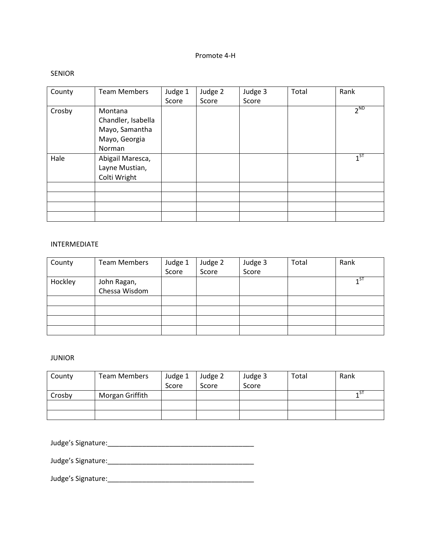# Promote 4-H

### SENIOR

| County | <b>Team Members</b>                                                        | Judge 1<br>Score | Judge 2<br>Score | Judge 3<br>Score | Total | Rank     |
|--------|----------------------------------------------------------------------------|------------------|------------------|------------------|-------|----------|
| Crosby | Montana<br>Chandler, Isabella<br>Mayo, Samantha<br>Mayo, Georgia<br>Norman |                  |                  |                  |       | $2^{ND}$ |
| Hale   | Abigail Maresca,<br>Layne Mustian,<br>Colti Wright                         |                  |                  |                  |       | $1^{ST}$ |
|        |                                                                            |                  |                  |                  |       |          |
|        |                                                                            |                  |                  |                  |       |          |
|        |                                                                            |                  |                  |                  |       |          |
|        |                                                                            |                  |                  |                  |       |          |

# INTERMEDIATE

| County  | <b>Team Members</b>          | Judge 1 | Judge 2 | Judge 3 | Total | Rank     |
|---------|------------------------------|---------|---------|---------|-------|----------|
|         |                              | Score   | Score   | Score   |       |          |
| Hockley | John Ragan,<br>Chessa Wisdom |         |         |         |       | $1^{ST}$ |
|         |                              |         |         |         |       |          |
|         |                              |         |         |         |       |          |
|         |                              |         |         |         |       |          |
|         |                              |         |         |         |       |          |
|         |                              |         |         |         |       |          |

# JUNIOR

| County | <b>Team Members</b> | Judge 1<br>Score | Judge 2<br>Score | Judge 3<br>Score | Total | Rank |
|--------|---------------------|------------------|------------------|------------------|-------|------|
| Crosby | Morgan Griffith     |                  |                  |                  |       | 4 ST |
|        |                     |                  |                  |                  |       |      |
|        |                     |                  |                  |                  |       |      |

Judge's Signature:\_\_\_\_\_\_\_\_\_\_\_\_\_\_\_\_\_\_\_\_\_\_\_\_\_\_\_\_\_\_\_\_\_\_\_\_\_\_

Judge's Signature:\_\_\_\_\_\_\_\_\_\_\_\_\_\_\_\_\_\_\_\_\_\_\_\_\_\_\_\_\_\_\_\_\_\_\_\_\_\_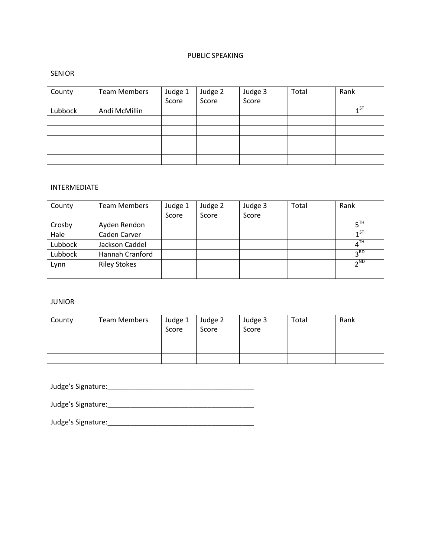# PUBLIC SPEAKING

### SENIOR

| County  | <b>Team Members</b> | Judge 1<br>Score | Judge 2<br>Score | Judge 3<br>Score | Total | Rank            |
|---------|---------------------|------------------|------------------|------------------|-------|-----------------|
| Lubbock | Andi McMillin       |                  |                  |                  |       | $\mathsf{A}$ ST |
|         |                     |                  |                  |                  |       |                 |
|         |                     |                  |                  |                  |       |                 |
|         |                     |                  |                  |                  |       |                 |
|         |                     |                  |                  |                  |       |                 |
|         |                     |                  |                  |                  |       |                 |

## INTERMEDIATE

| County  | <b>Team Members</b> | Judge 1 | Judge 2 | Judge 3 | Total | Rank              |
|---------|---------------------|---------|---------|---------|-------|-------------------|
|         |                     | Score   | Score   | Score   |       |                   |
| Crosby  | Ayden Rendon        |         |         |         |       | $5$ <sup>TH</sup> |
| Hale    | Caden Carver        |         |         |         |       | $1^{ST}$          |
| Lubbock | Jackson Caddel      |         |         |         |       | 4 <sup>TH</sup>   |
| Lubbock | Hannah Cranford     |         |         |         |       | 3 <sup>RD</sup>   |
| Lynn    | <b>Riley Stokes</b> |         |         |         |       | $2^{ND}$          |
|         |                     |         |         |         |       |                   |

# JUNIOR

| County | <b>Team Members</b> | Judge 1 | Judge 2 | Judge 3 | Total | Rank |
|--------|---------------------|---------|---------|---------|-------|------|
|        |                     | Score   | Score   | Score   |       |      |
|        |                     |         |         |         |       |      |
|        |                     |         |         |         |       |      |
|        |                     |         |         |         |       |      |

Judge's Signature:\_\_\_\_\_\_\_\_\_\_\_\_\_\_\_\_\_\_\_\_\_\_\_\_\_\_\_\_\_\_\_\_\_\_\_\_\_\_

Judge's Signature:\_\_\_\_\_\_\_\_\_\_\_\_\_\_\_\_\_\_\_\_\_\_\_\_\_\_\_\_\_\_\_\_\_\_\_\_\_\_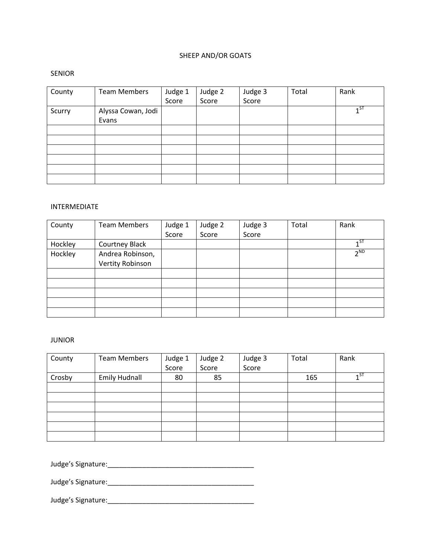# SHEEP AND/OR GOATS

### SENIOR

| County | <b>Team Members</b>         | Judge 1<br>Score | Judge 2<br>Score | Judge 3<br>Score | Total | Rank     |
|--------|-----------------------------|------------------|------------------|------------------|-------|----------|
| Scurry | Alyssa Cowan, Jodi<br>Evans |                  |                  |                  |       | $1^{ST}$ |
|        |                             |                  |                  |                  |       |          |
|        |                             |                  |                  |                  |       |          |
|        |                             |                  |                  |                  |       |          |
|        |                             |                  |                  |                  |       |          |
|        |                             |                  |                  |                  |       |          |
|        |                             |                  |                  |                  |       |          |

### INTERMEDIATE

| County  | <b>Team Members</b>   | Judge 1 | Judge 2 | Judge 3 | Total | Rank     |
|---------|-----------------------|---------|---------|---------|-------|----------|
|         |                       | Score   | Score   | Score   |       |          |
| Hockley | <b>Courtney Black</b> |         |         |         |       | $1^{ST}$ |
| Hockley | Andrea Robinson,      |         |         |         |       | $2^ND$   |
|         | Vertity Robinson      |         |         |         |       |          |
|         |                       |         |         |         |       |          |
|         |                       |         |         |         |       |          |
|         |                       |         |         |         |       |          |
|         |                       |         |         |         |       |          |
|         |                       |         |         |         |       |          |

# JUNIOR

| County | <b>Team Members</b>  | Judge 1 | Judge 2 | Judge 3 | Total | Rank  |
|--------|----------------------|---------|---------|---------|-------|-------|
|        |                      | Score   | Score   | Score   |       |       |
| Crosby | <b>Emily Hudnall</b> | 80      | 85      |         | 165   | $1^5$ |
|        |                      |         |         |         |       |       |
|        |                      |         |         |         |       |       |
|        |                      |         |         |         |       |       |
|        |                      |         |         |         |       |       |
|        |                      |         |         |         |       |       |
|        |                      |         |         |         |       |       |

Judge's Signature:\_\_\_\_\_\_\_\_\_\_\_\_\_\_\_\_\_\_\_\_\_\_\_\_\_\_\_\_\_\_\_\_\_\_\_\_\_\_

Judge's Signature:\_\_\_\_\_\_\_\_\_\_\_\_\_\_\_\_\_\_\_\_\_\_\_\_\_\_\_\_\_\_\_\_\_\_\_\_\_\_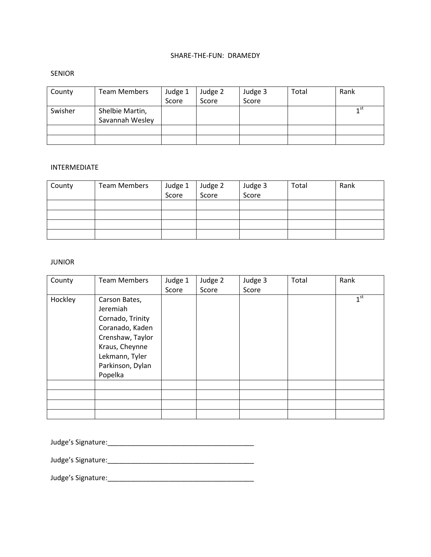## SHARE-THE-FUN: DRAMEDY

## SENIOR

| County  | <b>Team Members</b>                | Judge 1<br>Score | Judge 2<br>Score | Judge 3<br>Score | Total | Rank            |
|---------|------------------------------------|------------------|------------------|------------------|-------|-----------------|
| Swisher | Shelbie Martin,<br>Savannah Wesley |                  |                  |                  |       | 1 <sup>st</sup> |
|         |                                    |                  |                  |                  |       |                 |
|         |                                    |                  |                  |                  |       |                 |

#### INTERMEDIATE

| County | Team Members | Judge 1<br>Score | Judge 2<br>Score | Judge 3<br>Score | Total | Rank |
|--------|--------------|------------------|------------------|------------------|-------|------|
|        |              |                  |                  |                  |       |      |
|        |              |                  |                  |                  |       |      |
|        |              |                  |                  |                  |       |      |
|        |              |                  |                  |                  |       |      |

### JUNIOR

| County  | <b>Team Members</b>                                                                                                                                     | Judge 1<br>Score | Judge 2<br>Score | Judge 3<br>Score | Total | Rank            |
|---------|---------------------------------------------------------------------------------------------------------------------------------------------------------|------------------|------------------|------------------|-------|-----------------|
| Hockley | Carson Bates,<br>Jeremiah<br>Cornado, Trinity<br>Coranado, Kaden<br>Crenshaw, Taylor<br>Kraus, Cheynne<br>Lekmann, Tyler<br>Parkinson, Dylan<br>Popelka |                  |                  |                  |       | 1 <sup>st</sup> |
|         |                                                                                                                                                         |                  |                  |                  |       |                 |
|         |                                                                                                                                                         |                  |                  |                  |       |                 |
|         |                                                                                                                                                         |                  |                  |                  |       |                 |
|         |                                                                                                                                                         |                  |                  |                  |       |                 |

Judge's Signature:\_\_\_\_\_\_\_\_\_\_\_\_\_\_\_\_\_\_\_\_\_\_\_\_\_\_\_\_\_\_\_\_\_\_\_\_\_\_

Judge's Signature:\_\_\_\_\_\_\_\_\_\_\_\_\_\_\_\_\_\_\_\_\_\_\_\_\_\_\_\_\_\_\_\_\_\_\_\_\_\_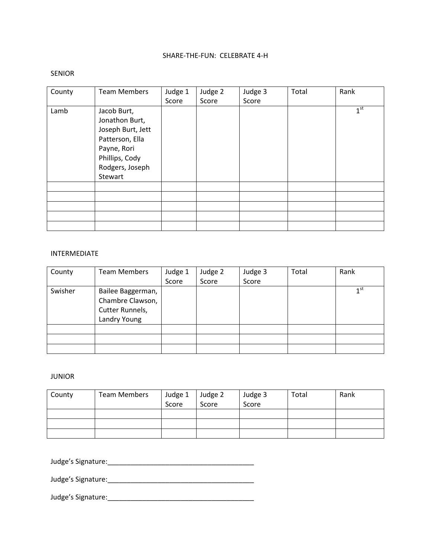# SHARE-THE-FUN: CELEBRATE 4-H

### SENIOR

| County | <b>Team Members</b>                                                                                                                  | Judge 1<br>Score | Judge 2<br>Score | Judge 3<br>Score | Total | Rank            |
|--------|--------------------------------------------------------------------------------------------------------------------------------------|------------------|------------------|------------------|-------|-----------------|
| Lamb   | Jacob Burt,<br>Jonathon Burt,<br>Joseph Burt, Jett<br>Patterson, Ella<br>Payne, Rori<br>Phillips, Cody<br>Rodgers, Joseph<br>Stewart |                  |                  |                  |       | 1 <sup>st</sup> |
|        |                                                                                                                                      |                  |                  |                  |       |                 |
|        |                                                                                                                                      |                  |                  |                  |       |                 |
|        |                                                                                                                                      |                  |                  |                  |       |                 |
|        |                                                                                                                                      |                  |                  |                  |       |                 |
|        |                                                                                                                                      |                  |                  |                  |       |                 |

# INTERMEDIATE

| County  | <b>Team Members</b>                                                      | Judge 1<br>Score | Judge 2<br>Score | Judge 3<br>Score | Total | Rank            |
|---------|--------------------------------------------------------------------------|------------------|------------------|------------------|-------|-----------------|
| Swisher | Bailee Baggerman,<br>Chambre Clawson,<br>Cutter Runnels,<br>Landry Young |                  |                  |                  |       | 1 <sup>st</sup> |
|         |                                                                          |                  |                  |                  |       |                 |
|         |                                                                          |                  |                  |                  |       |                 |
|         |                                                                          |                  |                  |                  |       |                 |

### JUNIOR

| County | <b>Team Members</b> | Judge 1<br>Score | Judge 2<br>Score | Judge 3<br>Score | Total | Rank |
|--------|---------------------|------------------|------------------|------------------|-------|------|
|        |                     |                  |                  |                  |       |      |
|        |                     |                  |                  |                  |       |      |
|        |                     |                  |                  |                  |       |      |

Judge's Signature:\_\_\_\_\_\_\_\_\_\_\_\_\_\_\_\_\_\_\_\_\_\_\_\_\_\_\_\_\_\_\_\_\_\_\_\_\_\_

Judge's Signature:\_\_\_\_\_\_\_\_\_\_\_\_\_\_\_\_\_\_\_\_\_\_\_\_\_\_\_\_\_\_\_\_\_\_\_\_\_\_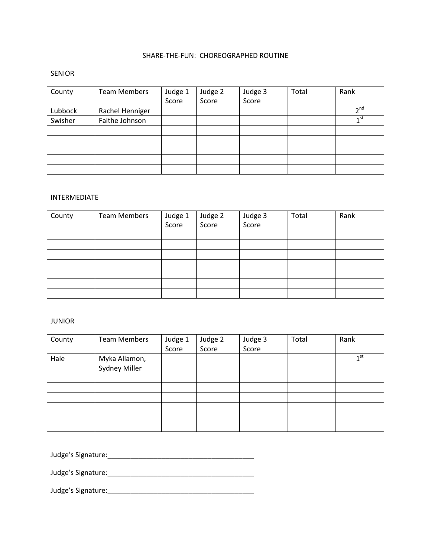# SHARE-THE-FUN: CHOREOGRAPHED ROUTINE

## SENIOR

| County  | <b>Team Members</b> | Judge 1 | Judge 2 | Judge 3 | Total | Rank            |
|---------|---------------------|---------|---------|---------|-------|-----------------|
|         |                     | Score   | Score   | Score   |       |                 |
| Lubbock | Rachel Henniger     |         |         |         |       | 2 <sup>nd</sup> |
| Swisher | Faithe Johnson      |         |         |         |       | 1 <sub>st</sub> |
|         |                     |         |         |         |       |                 |
|         |                     |         |         |         |       |                 |
|         |                     |         |         |         |       |                 |
|         |                     |         |         |         |       |                 |
|         |                     |         |         |         |       |                 |

## INTERMEDIATE

| County | <b>Team Members</b> | Judge 1 | Judge 2<br>Score | Judge 3<br>Score | Total | Rank |
|--------|---------------------|---------|------------------|------------------|-------|------|
|        |                     | Score   |                  |                  |       |      |
|        |                     |         |                  |                  |       |      |
|        |                     |         |                  |                  |       |      |
|        |                     |         |                  |                  |       |      |
|        |                     |         |                  |                  |       |      |
|        |                     |         |                  |                  |       |      |
|        |                     |         |                  |                  |       |      |
|        |                     |         |                  |                  |       |      |

## JUNIOR

| County | <b>Team Members</b>            | Judge 1 | Judge 2 | Judge 3 | Total | Rank            |
|--------|--------------------------------|---------|---------|---------|-------|-----------------|
|        |                                | Score   | Score   | Score   |       |                 |
| Hale   | Myka Allamon,<br>Sydney Miller |         |         |         |       | 1 <sup>st</sup> |
|        |                                |         |         |         |       |                 |
|        |                                |         |         |         |       |                 |
|        |                                |         |         |         |       |                 |
|        |                                |         |         |         |       |                 |
|        |                                |         |         |         |       |                 |
|        |                                |         |         |         |       |                 |
|        |                                |         |         |         |       |                 |

Judge's Signature:\_\_\_\_\_\_\_\_\_\_\_\_\_\_\_\_\_\_\_\_\_\_\_\_\_\_\_\_\_\_\_\_\_\_\_\_\_\_

Judge's Signature:\_\_\_\_\_\_\_\_\_\_\_\_\_\_\_\_\_\_\_\_\_\_\_\_\_\_\_\_\_\_\_\_\_\_\_\_\_\_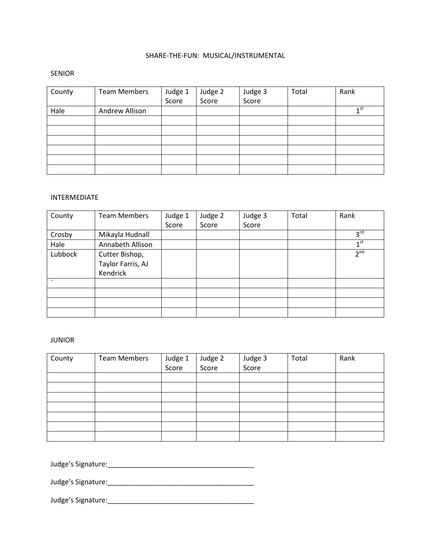# SHARE-THE-FUN: MUSICAL/INSTRUMENTAL

## SENIOR

| County | <b>Team Members</b> | Judge 1<br>Score | Judge 2<br>Score | Judge 3<br>Score | Total | Rank            |
|--------|---------------------|------------------|------------------|------------------|-------|-----------------|
| Hale   | Andrew Allison      |                  |                  |                  |       | 1 <sub>st</sub> |
|        |                     |                  |                  |                  |       |                 |
|        |                     |                  |                  |                  |       |                 |
|        |                     |                  |                  |                  |       |                 |
|        |                     |                  |                  |                  |       |                 |
|        |                     |                  |                  |                  |       |                 |
|        |                     |                  |                  |                  |       |                 |

## INTERMEDIATE

| County  | <b>Team Members</b> | Judge 1 | Judge 2 | Judge 3 | Total | Rank            |
|---------|---------------------|---------|---------|---------|-------|-----------------|
|         |                     | Score   | Score   | Score   |       |                 |
| Crosby  | Mikayla Hudnall     |         |         |         |       | 3 <sup>rd</sup> |
| Hale    | Annabeth Allison    |         |         |         |       | 1 <sup>st</sup> |
| Lubbock | Cutter Bishop,      |         |         |         |       | 2 <sup>nd</sup> |
|         | Taylor Farris, AJ   |         |         |         |       |                 |
|         | Kendrick            |         |         |         |       |                 |
| $\cdot$ |                     |         |         |         |       |                 |
|         |                     |         |         |         |       |                 |
|         |                     |         |         |         |       |                 |
|         |                     |         |         |         |       |                 |

### JUNIOR

| County | <b>Team Members</b> | Judge 1 | Judge 2 | Judge 3 | Total | Rank |
|--------|---------------------|---------|---------|---------|-------|------|
|        |                     | Score   | Score   | Score   |       |      |
|        |                     |         |         |         |       |      |
|        |                     |         |         |         |       |      |
|        |                     |         |         |         |       |      |
|        |                     |         |         |         |       |      |
|        |                     |         |         |         |       |      |
|        |                     |         |         |         |       |      |
|        |                     |         |         |         |       |      |

Judge's Signature:\_\_\_\_\_\_\_\_\_\_\_\_\_\_\_\_\_\_\_\_\_\_\_\_\_\_\_\_\_\_\_\_\_\_\_\_\_\_

Judge's Signature:\_\_\_\_\_\_\_\_\_\_\_\_\_\_\_\_\_\_\_\_\_\_\_\_\_\_\_\_\_\_\_\_\_\_\_\_\_\_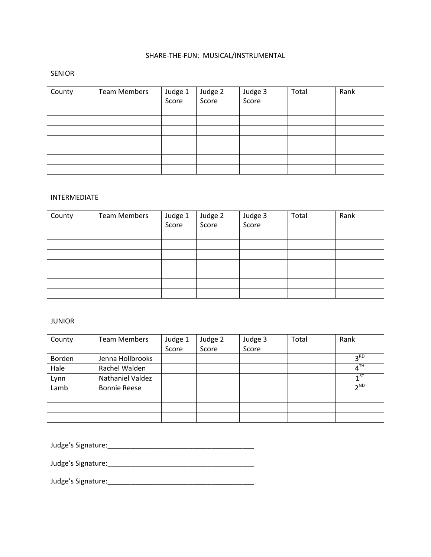# SHARE-THE-FUN: MUSICAL/INSTRUMENTAL

## SENIOR

| County | <b>Team Members</b> | Judge 1<br>Score | Judge 2<br>Score | Judge 3<br>Score | Total | Rank |
|--------|---------------------|------------------|------------------|------------------|-------|------|
|        |                     |                  |                  |                  |       |      |
|        |                     |                  |                  |                  |       |      |
|        |                     |                  |                  |                  |       |      |
|        |                     |                  |                  |                  |       |      |
|        |                     |                  |                  |                  |       |      |
|        |                     |                  |                  |                  |       |      |
|        |                     |                  |                  |                  |       |      |

## INTERMEDIATE

| County | <b>Team Members</b> | Judge 1 | Judge 2<br>Score | Judge 3<br>Score | Total | Rank |
|--------|---------------------|---------|------------------|------------------|-------|------|
|        |                     | Score   |                  |                  |       |      |
|        |                     |         |                  |                  |       |      |
|        |                     |         |                  |                  |       |      |
|        |                     |         |                  |                  |       |      |
|        |                     |         |                  |                  |       |      |
|        |                     |         |                  |                  |       |      |
|        |                     |         |                  |                  |       |      |
|        |                     |         |                  |                  |       |      |

## JUNIOR

| County | <b>Team Members</b> | Judge 1 | Judge 2 | Judge 3 | Total | Rank                       |
|--------|---------------------|---------|---------|---------|-------|----------------------------|
|        |                     | Score   | Score   | Score   |       |                            |
| Borden | Jenna Hollbrooks    |         |         |         |       | 3 <sup>RD</sup>            |
| Hale   | Rachel Walden       |         |         |         |       | $\overline{4}^{\text{TH}}$ |
| Lynn   | Nathaniel Valdez    |         |         |         |       | $1^{ST}$                   |
| Lamb   | <b>Bonnie Reese</b> |         |         |         |       | $\neg$ <sub>ND</sub>       |
|        |                     |         |         |         |       |                            |
|        |                     |         |         |         |       |                            |
|        |                     |         |         |         |       |                            |

Judge's Signature:\_\_\_\_\_\_\_\_\_\_\_\_\_\_\_\_\_\_\_\_\_\_\_\_\_\_\_\_\_\_\_\_\_\_\_\_\_\_

Judge's Signature:\_\_\_\_\_\_\_\_\_\_\_\_\_\_\_\_\_\_\_\_\_\_\_\_\_\_\_\_\_\_\_\_\_\_\_\_\_\_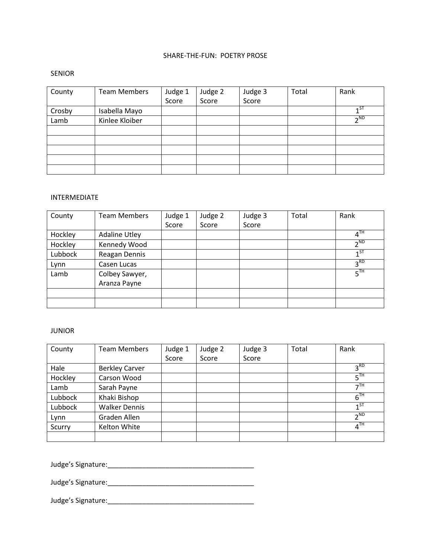# SHARE-THE-FUN: POETRY PROSE

## SENIOR

| County | <b>Team Members</b> | Judge 1 | Judge 2 | Judge 3 | Total | Rank                 |
|--------|---------------------|---------|---------|---------|-------|----------------------|
|        |                     | Score   | Score   | Score   |       |                      |
| Crosby | Isabella Mayo       |         |         |         |       | 1 <sub>5</sub>       |
| Lamb   | Kinlee Kloiber      |         |         |         |       | $\neg$ <sub>ND</sub> |
|        |                     |         |         |         |       |                      |
|        |                     |         |         |         |       |                      |
|        |                     |         |         |         |       |                      |
|        |                     |         |         |         |       |                      |
|        |                     |         |         |         |       |                      |

## INTERMEDIATE

| County  | <b>Team Members</b>  | Judge 1 | Judge 2 | Judge 3 | Total | Rank                       |
|---------|----------------------|---------|---------|---------|-------|----------------------------|
|         |                      | Score   | Score   | Score   |       |                            |
| Hockley | <b>Adaline Utley</b> |         |         |         |       | $\overline{4}^{\text{TH}}$ |
| Hockley | Kennedy Wood         |         |         |         |       | $\neg$ <sub>ND</sub>       |
| Lubbock | Reagan Dennis        |         |         |         |       | $1^{ST}$                   |
| Lynn    | Casen Lucas          |         |         |         |       | 3 <sup>RD</sup>            |
| Lamb    | Colbey Sawyer,       |         |         |         |       | 5 <sup>TH</sup>            |
|         | Aranza Payne         |         |         |         |       |                            |
|         |                      |         |         |         |       |                            |
|         |                      |         |         |         |       |                            |

### JUNIOR

| County  | <b>Team Members</b>   | Judge 1 | Judge 2 | Judge 3 | Total | Rank                      |
|---------|-----------------------|---------|---------|---------|-------|---------------------------|
|         |                       | Score   | Score   | Score   |       |                           |
| Hale    | <b>Berkley Carver</b> |         |         |         |       | 3 <sup>RD</sup>           |
| Hockley | Carson Wood           |         |         |         |       | $5^{TH}$                  |
| Lamb    | Sarah Payne           |         |         |         |       | $\mathcal{F}^{\text{TH}}$ |
| Lubbock | Khaki Bishop          |         |         |         |       | 6 <sup>TH</sup>           |
| Lubbock | <b>Walker Dennis</b>  |         |         |         |       | $1^{ST}$                  |
| Lynn    | Graden Allen          |         |         |         |       | 2 <sub>ND</sub>           |
| Scurry  | Kelton White          |         |         |         |       | 4 <sup>TH</sup>           |
|         |                       |         |         |         |       |                           |

Judge's Signature:\_\_\_\_\_\_\_\_\_\_\_\_\_\_\_\_\_\_\_\_\_\_\_\_\_\_\_\_\_\_\_\_\_\_\_\_\_\_

Judge's Signature:\_\_\_\_\_\_\_\_\_\_\_\_\_\_\_\_\_\_\_\_\_\_\_\_\_\_\_\_\_\_\_\_\_\_\_\_\_\_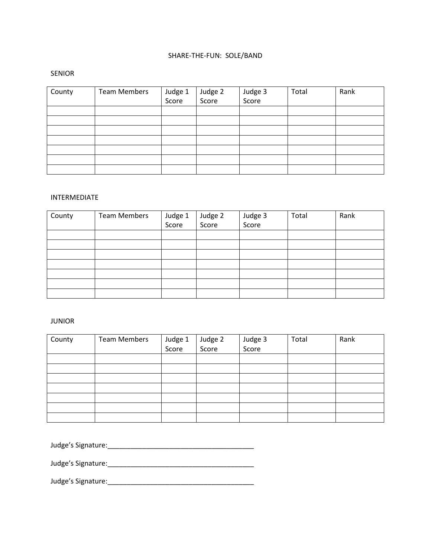# SHARE-THE-FUN: SOLE/BAND

### SENIOR

| County | <b>Team Members</b> | Judge 1<br>Score | Judge 2<br>Score | Judge 3<br>Score | Total | Rank |
|--------|---------------------|------------------|------------------|------------------|-------|------|
|        |                     |                  |                  |                  |       |      |
|        |                     |                  |                  |                  |       |      |
|        |                     |                  |                  |                  |       |      |
|        |                     |                  |                  |                  |       |      |
|        |                     |                  |                  |                  |       |      |
|        |                     |                  |                  |                  |       |      |
|        |                     |                  |                  |                  |       |      |

# INTERMEDIATE

| County | <b>Team Members</b> | Judge 1 | Judge 2<br>Score | Judge 3<br>Score | Total | Rank |
|--------|---------------------|---------|------------------|------------------|-------|------|
|        |                     | Score   |                  |                  |       |      |
|        |                     |         |                  |                  |       |      |
|        |                     |         |                  |                  |       |      |
|        |                     |         |                  |                  |       |      |
|        |                     |         |                  |                  |       |      |
|        |                     |         |                  |                  |       |      |
|        |                     |         |                  |                  |       |      |
|        |                     |         |                  |                  |       |      |

## JUNIOR

| County | <b>Team Members</b> | Judge 1<br>Score | Judge 2<br>Score | Judge 3<br>Score | Total | Rank |
|--------|---------------------|------------------|------------------|------------------|-------|------|
|        |                     |                  |                  |                  |       |      |
|        |                     |                  |                  |                  |       |      |
|        |                     |                  |                  |                  |       |      |
|        |                     |                  |                  |                  |       |      |
|        |                     |                  |                  |                  |       |      |
|        |                     |                  |                  |                  |       |      |
|        |                     |                  |                  |                  |       |      |
|        |                     |                  |                  |                  |       |      |

Judge's Signature:\_\_\_\_\_\_\_\_\_\_\_\_\_\_\_\_\_\_\_\_\_\_\_\_\_\_\_\_\_\_\_\_\_\_\_\_\_\_

Judge's Signature:\_\_\_\_\_\_\_\_\_\_\_\_\_\_\_\_\_\_\_\_\_\_\_\_\_\_\_\_\_\_\_\_\_\_\_\_\_\_